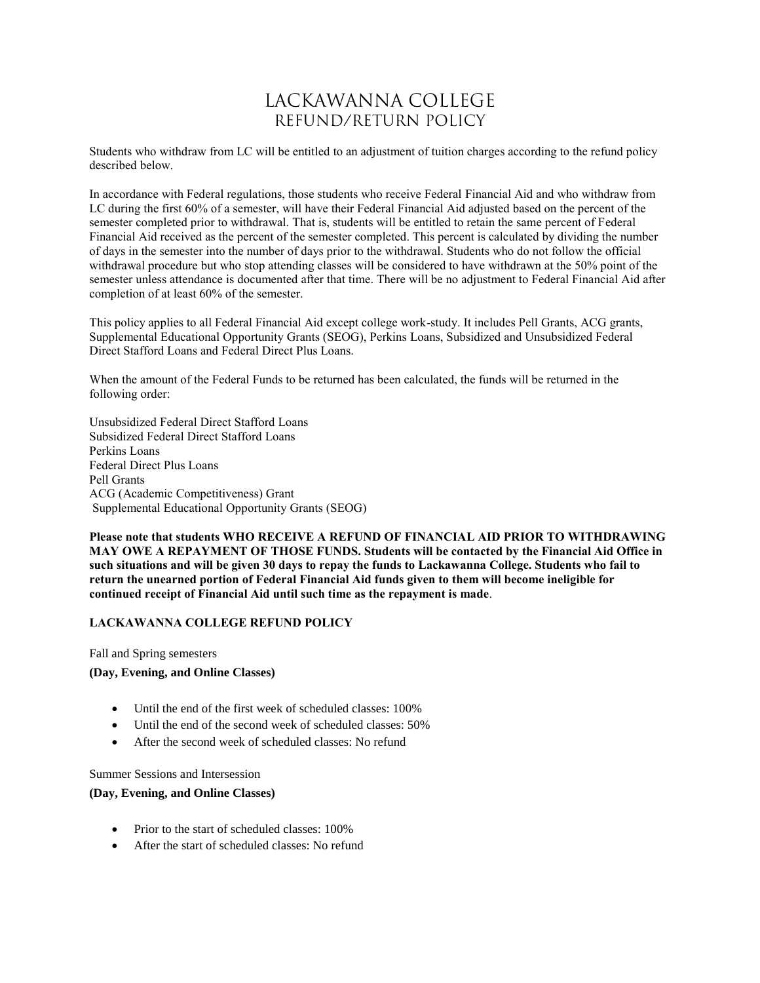## LACKAWANNA COLLEGE REFUND/RETURN POLICY

Students who withdraw from LC will be entitled to an adjustment of tuition charges according to the refund policy described below.

In accordance with Federal regulations, those students who receive Federal Financial Aid and who withdraw from LC during the first 60% of a semester, will have their Federal Financial Aid adjusted based on the percent of the semester completed prior to withdrawal. That is, students will be entitled to retain the same percent of Federal Financial Aid received as the percent of the semester completed. This percent is calculated by dividing the number of days in the semester into the number of days prior to the withdrawal. Students who do not follow the official withdrawal procedure but who stop attending classes will be considered to have withdrawn at the 50% point of the semester unless attendance is documented after that time. There will be no adjustment to Federal Financial Aid after completion of at least 60% of the semester.

This policy applies to all Federal Financial Aid except college work-study. It includes Pell Grants, ACG grants, Supplemental Educational Opportunity Grants (SEOG), Perkins Loans, Subsidized and Unsubsidized Federal Direct Stafford Loans and Federal Direct Plus Loans.

When the amount of the Federal Funds to be returned has been calculated, the funds will be returned in the following order:

Unsubsidized Federal Direct Stafford Loans Subsidized Federal Direct Stafford Loans Perkins Loans Federal Direct Plus Loans Pell Grants ACG (Academic Competitiveness) Grant Supplemental Educational Opportunity Grants (SEOG)

**Please note that students WHO RECEIVE A REFUND OF FINANCIAL AID PRIOR TO WITHDRAWING MAY OWE A REPAYMENT OF THOSE FUNDS. Students will be contacted by the Financial Aid Office in such situations and will be given 30 days to repay the funds to Lackawanna College. Students who fail to return the unearned portion of Federal Financial Aid funds given to them will become ineligible for continued receipt of Financial Aid until such time as the repayment is made**.

## **LACKAWANNA COLLEGE REFUND POLICY**

Fall and Spring semesters

**(Day, Evening, and Online Classes)**

- Until the end of the first week of scheduled classes: 100%
- Until the end of the second week of scheduled classes: 50%
- After the second week of scheduled classes: No refund

Summer Sessions and Intersession

## **(Day, Evening, and Online Classes)**

- Prior to the start of scheduled classes: 100%
- After the start of scheduled classes: No refund